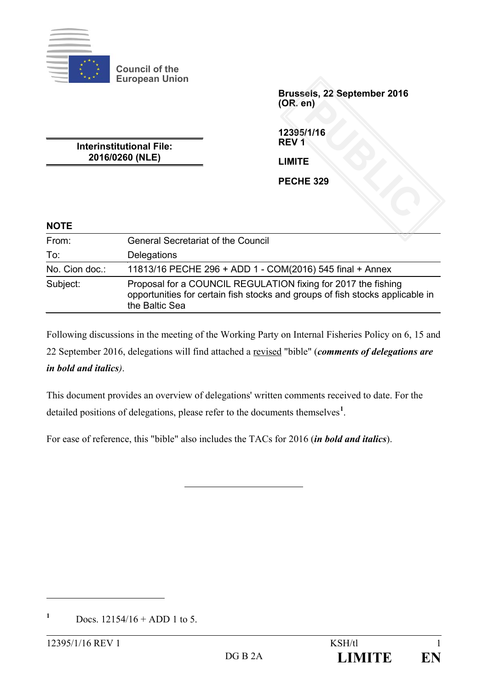

**Council of the European Union**

> **Brussels, 22 September 2016 (OR. en)** PUBLIC<br>PUBLIC SCREEN ASSESSMENT OF THE SCREEN ASSESSMENT OF THE SCREEN ASSESSMENT OF THE SCREEN ASSESSMENT OF THE SCREEN ASSESSMENT OF THE SCREEN ASSESSMENT OF THE SCREEN OF THE SCREEN OF THE SCREEN ASSESSMENT OF THE SCREE

**12395/1/16 REV 1**

**LIMITE**

**PECHE 329**

**Interinstitutional File: 2016/0260 (NLE)**

| <b>NOTE</b>    |                                                                                                                                                                  |
|----------------|------------------------------------------------------------------------------------------------------------------------------------------------------------------|
| From:          | <b>General Secretariat of the Council</b>                                                                                                                        |
| To:            | Delegations                                                                                                                                                      |
| No. Cion doc.: | 11813/16 PECHE 296 + ADD 1 - COM(2016) 545 final + Annex                                                                                                         |
| Subject:       | Proposal for a COUNCIL REGULATION fixing for 2017 the fishing<br>opportunities for certain fish stocks and groups of fish stocks applicable in<br>the Baltic Sea |

Following discussions in the meeting of the Working Party on Internal Fisheries Policy on 6, 15 and 22 September 2016, delegations will find attached a revised "bible" (*comments of delegations are in bold and italics)*.

This document provides an overview of delegations' written comments received to date. For the detailed positions of delegations, please refer to the documents themselves**[1](#page-0-0)** .

For ease of reference, this "bible" also includes the TACs for 2016 (*in bold and italics*).

<span id="page-0-0"></span> $1^{\circ}$  Docs.  $12154/16 +$  ADD 1 to 5.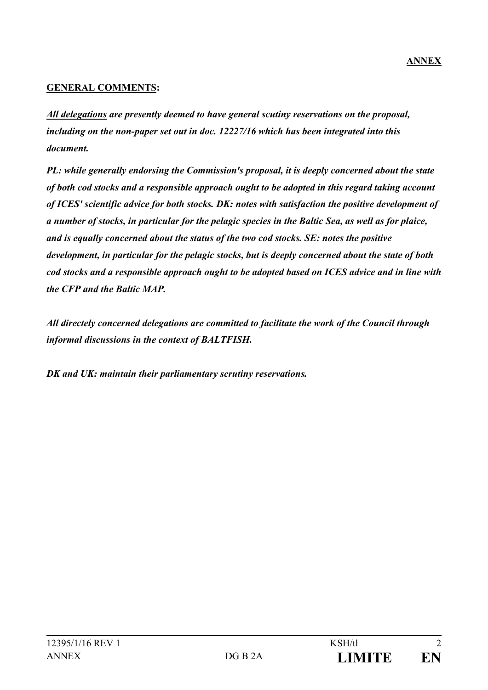#### **GENERAL COMMENTS:**

*All delegations are presently deemed to have general scutiny reservations on the proposal, including on the non-paper set out in doc. 12227/16 which has been integrated into this document.*

*PL: while generally endorsing the Commission's proposal, it is deeply concerned about the state of both cod stocks and a responsible approach ought to be adopted in this regard taking account of ICES' scientific advice for both stocks. DK: notes with satisfaction the positive development of a number of stocks, in particular for the pelagic species in the Baltic Sea, as well as for plaice, and is equally concerned about the status of the two cod stocks. SE: notes the positive development, in particular for the pelagic stocks, but is deeply concerned about the state of both cod stocks and a responsible approach ought to be adopted based on ICES advice and in line with the CFP and the Baltic MAP.*

*All directely concerned delegations are committed to facilitate the work of the Council through informal discussions in the context of BALTFISH.*

*DK and UK: maintain their parliamentary scrutiny reservations.*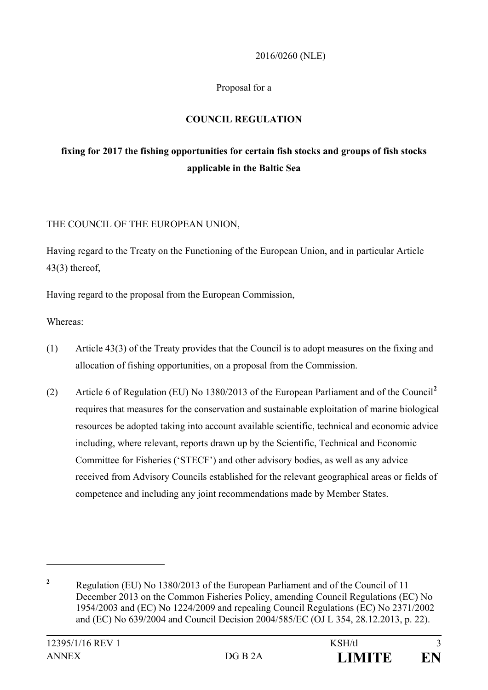#### 2016/0260 (NLE)

#### Proposal for a

### **COUNCIL REGULATION**

# **fixing for 2017 the fishing opportunities for certain fish stocks and groups of fish stocks applicable in the Baltic Sea**

#### THE COUNCIL OF THE EUROPEAN UNION,

Having regard to the Treaty on the Functioning of the European Union, and in particular Article 43(3) thereof,

Having regard to the proposal from the European Commission,

Whereas:

- (1) Article 43(3) of the Treaty provides that the Council is to adopt measures on the fixing and allocation of fishing opportunities, on a proposal from the Commission.
- (2) Article 6 of Regulation (EU) No 1380/2013 of the European Parliament and of the Council**[2](#page-2-0)** requires that measures for the conservation and sustainable exploitation of marine biological resources be adopted taking into account available scientific, technical and economic advice including, where relevant, reports drawn up by the Scientific, Technical and Economic Committee for Fisheries ('STECF') and other advisory bodies, as well as any advice received from Advisory Councils established for the relevant geographical areas or fields of competence and including any joint recommendations made by Member States.

<span id="page-2-0"></span>**<sup>2</sup>** Regulation (EU) No 1380/2013 of the European Parliament and of the Council of 11 December 2013 on the Common Fisheries Policy, amending Council Regulations (EC) No 1954/2003 and (EC) No 1224/2009 and repealing Council Regulations (EC) No 2371/2002 and (EC) No 639/2004 and Council Decision 2004/585/EC (OJ L 354, 28.12.2013, p. 22).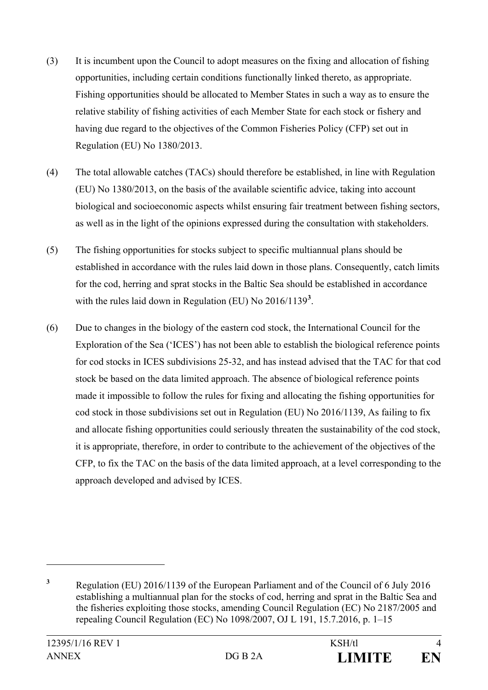- (3) It is incumbent upon the Council to adopt measures on the fixing and allocation of fishing opportunities, including certain conditions functionally linked thereto, as appropriate. Fishing opportunities should be allocated to Member States in such a way as to ensure the relative stability of fishing activities of each Member State for each stock or fishery and having due regard to the objectives of the Common Fisheries Policy (CFP) set out in Regulation (EU) No 1380/2013.
- (4) The total allowable catches (TACs) should therefore be established, in line with Regulation (EU) No 1380/2013, on the basis of the available scientific advice, taking into account biological and socioeconomic aspects whilst ensuring fair treatment between fishing sectors, as well as in the light of the opinions expressed during the consultation with stakeholders.
- (5) The fishing opportunities for stocks subject to specific multiannual plans should be established in accordance with the rules laid down in those plans. Consequently, catch limits for the cod, herring and sprat stocks in the Baltic Sea should be established in accordance with the rules laid down in Regulation (EU) No 2016/1139**[3](#page-3-0)** .
- (6) Due to changes in the biology of the eastern cod stock, the International Council for the Exploration of the Sea ('ICES') has not been able to establish the biological reference points for cod stocks in ICES subdivisions 25-32, and has instead advised that the TAC for that cod stock be based on the data limited approach. The absence of biological reference points made it impossible to follow the rules for fixing and allocating the fishing opportunities for cod stock in those subdivisions set out in Regulation (EU) No 2016/1139, As failing to fix and allocate fishing opportunities could seriously threaten the sustainability of the cod stock, it is appropriate, therefore, in order to contribute to the achievement of the objectives of the CFP, to fix the TAC on the basis of the data limited approach, at a level corresponding to the approach developed and advised by ICES.

<span id="page-3-0"></span>**<sup>3</sup>** Regulation (EU) 2016/1139 of the European Parliament and of the Council of 6 July 2016 establishing a multiannual plan for the stocks of cod, herring and sprat in the Baltic Sea and the fisheries exploiting those stocks, amending Council Regulation (EC) No 2187/2005 and repealing Council Regulation (EC) No 1098/2007, OJ L 191, 15.7.2016, p. 1–15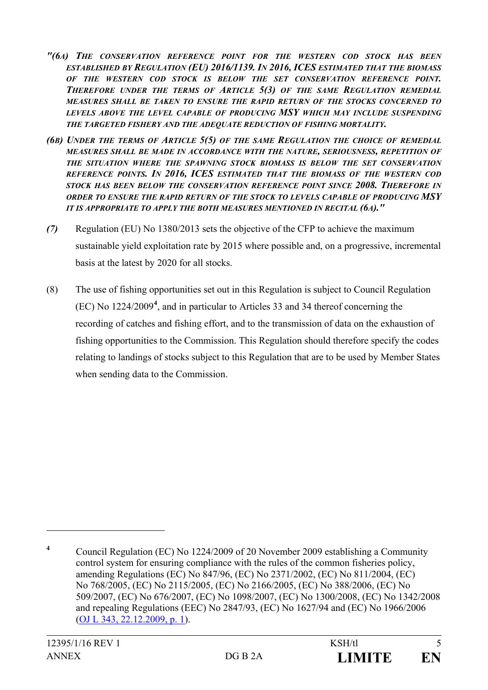- *"(6A) THE CONSERVATION REFERENCE POINT FOR THE WESTERN COD STOCK HAS BEEN ESTABLISHED BY REGULATION (EU) 2016/1139. IN 2016, ICES ESTIMATED THAT THE BIOMASS OF THE WESTERN COD STOCK IS BELOW THE SET CONSERVATION REFERENCE POINT. THEREFORE UNDER THE TERMS OF ARTICLE 5(3) OF THE SAME REGULATION REMEDIAL MEASURES SHALL BE TAKEN TO ENSURE THE RAPID RETURN OF THE STOCKS CONCERNED TO LEVELS ABOVE THE LEVEL CAPABLE OF PRODUCING MSY WHICH MAY INCLUDE SUSPENDING THE TARGETED FISHERY AND THE ADEQUATE REDUCTION OF FISHING MORTALITY.*
- *(6B) UNDER THE TERMS OF ARTICLE 5(5) OF THE SAME REGULATION THE CHOICE OF REMEDIAL MEASURES SHALL BE MADE IN ACCORDANCE WITH THE NATURE, SERIOUSNESS, REPETITION OF THE SITUATION WHERE THE SPAWNING STOCK BIOMASS IS BELOW THE SET CONSERVATION REFERENCE POINTS. IN 2016, ICES ESTIMATED THAT THE BIOMASS OF THE WESTERN COD STOCK HAS BEEN BELOW THE CONSERVATION REFERENCE POINT SINCE 2008. THEREFORE IN ORDER TO ENSURE THE RAPID RETURN OF THE STOCK TO LEVELS CAPABLE OF PRODUCING MSY IT IS APPROPRIATE TO APPLY THE BOTH MEASURES MENTIONED IN RECITAL (6A)."*
- *(7)* Regulation (EU) No 1380/2013 sets the objective of the CFP to achieve the maximum sustainable yield exploitation rate by 2015 where possible and, on a progressive, incremental basis at the latest by 2020 for all stocks.
- (8) The use of fishing opportunities set out in this Regulation is subject to Council Regulation (EC) No 1224/2009**[4](#page-4-0)** , and in particular to Articles 33 and 34 thereof concerning the recording of catches and fishing effort, and to the transmission of data on the exhaustion of fishing opportunities to the Commission. This Regulation should therefore specify the codes relating to landings of stocks subject to this Regulation that are to be used by Member States when sending data to the Commission.

<span id="page-4-0"></span>**<sup>4</sup>** Council Regulation (EC) No 1224/2009 of 20 November 2009 establishing a Community control system for ensuring compliance with the rules of the common fisheries policy, amending Regulations (EC) No 847/96, (EC) No 2371/2002, (EC) No 811/2004, (EC) No 768/2005, (EC) No 2115/2005, (EC) No 2166/2005, (EC) No 388/2006, (EC) No 509/2007, (EC) No 676/2007, (EC) No 1098/2007, (EC) No 1300/2008, (EC) No 1342/2008 and repealing Regulations (EEC) No 2847/93, (EC) No 1627/94 and (EC) No 1966/2006 (OJ L [343, 22.12.2009, p.](http://eur-lex.europa.eu/legal-content/EN/AUTO/?uri=OJ:L:2009:343:TOC) 1).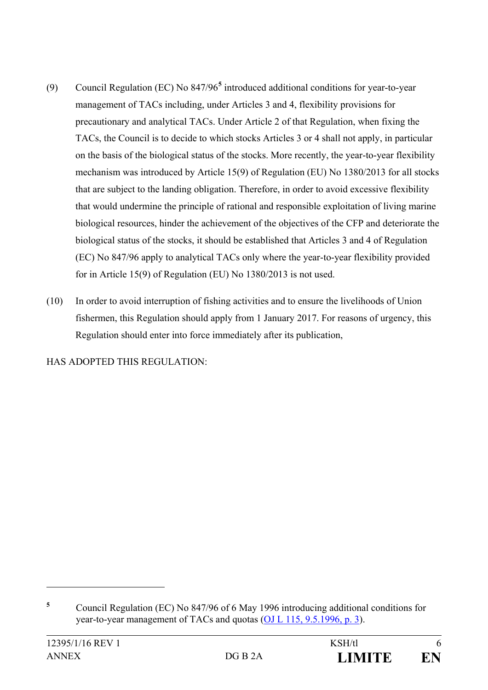- (9) Council Regulation (EC) No 847/96**[5](#page-5-0)** introduced additional conditions for year-to-year management of TACs including, under Articles 3 and 4, flexibility provisions for precautionary and analytical TACs. Under Article 2 of that Regulation, when fixing the TACs, the Council is to decide to which stocks Articles 3 or 4 shall not apply, in particular on the basis of the biological status of the stocks. More recently, the year-to-year flexibility mechanism was introduced by Article 15(9) of Regulation (EU) No 1380/2013 for all stocks that are subject to the landing obligation. Therefore, in order to avoid excessive flexibility that would undermine the principle of rational and responsible exploitation of living marine biological resources, hinder the achievement of the objectives of the CFP and deteriorate the biological status of the stocks, it should be established that Articles 3 and 4 of Regulation (EC) No 847/96 apply to analytical TACs only where the year-to-year flexibility provided for in Article 15(9) of Regulation (EU) No 1380/2013 is not used.
- (10) In order to avoid interruption of fishing activities and to ensure the livelihoods of Union fishermen, this Regulation should apply from 1 January 2017. For reasons of urgency, this Regulation should enter into force immediately after its publication,

HAS ADOPTED THIS REGULATION:

<span id="page-5-0"></span>**<sup>5</sup>** Council Regulation (EC) No 847/96 of 6 May 1996 introducing additional conditions for year-to-year management of TACs and quotas (OJ L [115, 9.5.1996, p.](http://eur-lex.europa.eu/legal-content/EN/AUTO/?uri=OJ:L:1996:115:TOC) 3).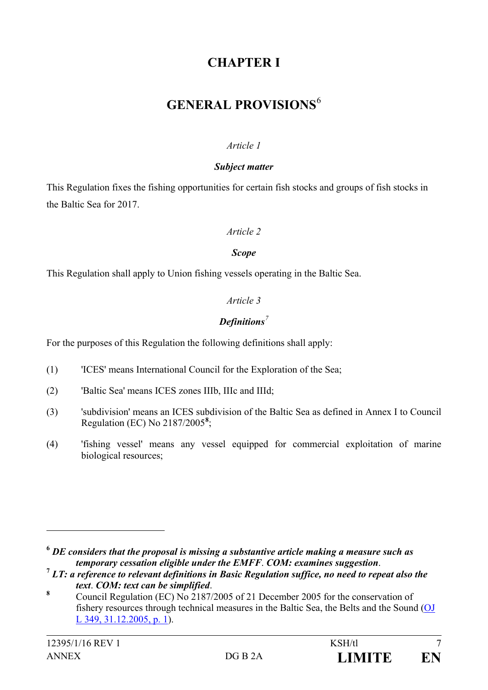# **CHAPTER I**

# **GENERAL PROVISIONS**[6](#page-6-0)

#### *Article 1*

#### *Subject matter*

This Regulation fixes the fishing opportunities for certain fish stocks and groups of fish stocks in the Baltic Sea for 2017.

#### *Article 2*

#### *Scope*

This Regulation shall apply to Union fishing vessels operating in the Baltic Sea.

## *Article 3*

## *Definitions[7](#page-6-1)*

For the purposes of this Regulation the following definitions shall apply:

- (1) 'ICES' means International Council for the Exploration of the Sea;
- (2) 'Baltic Sea' means ICES zones IIIb, IIIc and IIId;
- (3) 'subdivision' means an ICES subdivision of the Baltic Sea as defined in Annex I to Council Regulation (EC) No 2187/2005**[8](#page-6-2)** ;
- (4) 'fishing vessel' means any vessel equipped for commercial exploitation of marine biological resources;

<span id="page-6-0"></span>**<sup>6</sup>** *DE considers that the proposal is missing a substantive article making a measure such as temporary cessation eligible under the EMFF*. *COM: examines suggestion*. **<sup>7</sup>** *LT: a reference to relevant definitions in Basic Regulation suffice, no need to repeat also the* 

<span id="page-6-1"></span>*text. COM: text can be simplified.*<br><sup>8</sup> Council Regulation (EC) No 2187/2005 of 21 December 2005 for the conservation of

<span id="page-6-2"></span>fishery resources through technical measures in the Baltic Sea, the Belts and the Sound  $(O$ L [349, 31.12.2005, p.](http://eur-lex.europa.eu/legal-content/EN/AUTO/?uri=OJ:L:2005:349:TOC) 1).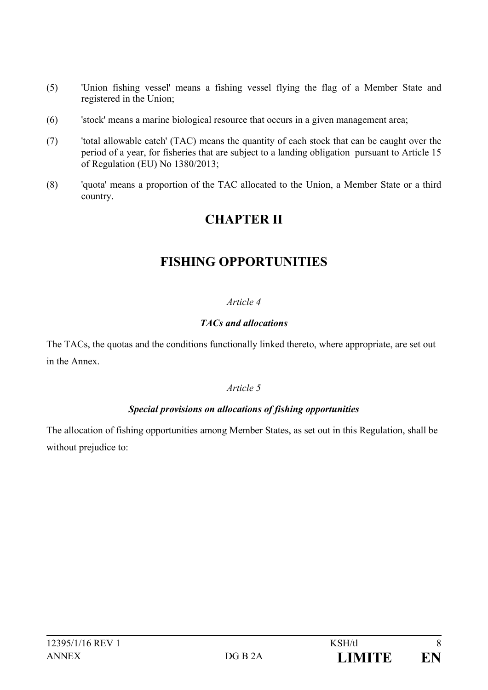- (5) 'Union fishing vessel' means a fishing vessel flying the flag of a Member State and registered in the Union;
- (6) 'stock' means a marine biological resource that occurs in a given management area;
- (7) 'total allowable catch' (TAC) means the quantity of each stock that can be caught over the period of a year, for fisheries that are subject to a landing obligation pursuant to Article 15 of Regulation (EU) No 1380/2013;
- (8) 'quota' means a proportion of the TAC allocated to the Union, a Member State or a third country.

# **CHAPTER II**

# **FISHING OPPORTUNITIES**

### *Article 4*

#### *TACs and allocations*

The TACs, the quotas and the conditions functionally linked thereto, where appropriate, are set out in the Annex.

#### *Article 5*

## *Special provisions on allocations of fishing opportunities*

The allocation of fishing opportunities among Member States, as set out in this Regulation, shall be without prejudice to: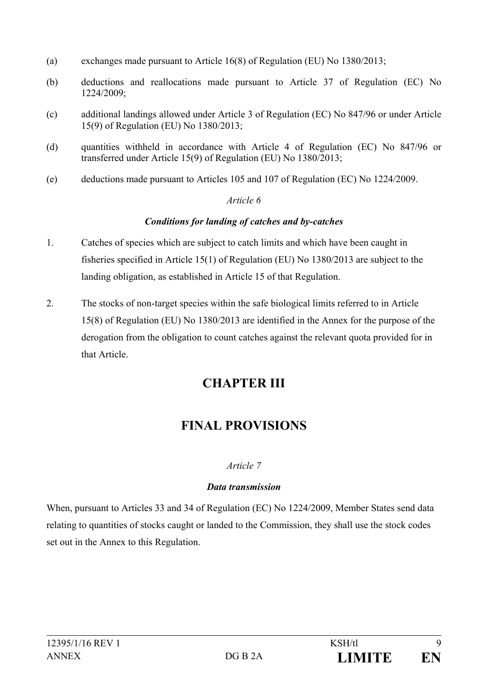- (a) exchanges made pursuant to Article 16(8) of Regulation (EU) No 1380/2013;
- (b) deductions and reallocations made pursuant to Article 37 of Regulation (EC) No 1224/2009;
- (c) additional landings allowed under Article 3 of Regulation (EC) No 847/96 or under Article 15(9) of Regulation (EU) No 1380/2013;
- (d) quantities withheld in accordance with Article 4 of Regulation (EC) No 847/96 or transferred under Article 15(9) of Regulation (EU) No 1380/2013;
- (e) deductions made pursuant to Articles 105 and 107 of Regulation (EC) No 1224/2009.

#### *Article 6*

#### *Conditions for landing of catches and by-catches*

- 1. Catches of species which are subject to catch limits and which have been caught in fisheries specified in Article 15(1) of Regulation (EU) No 1380/2013 are subject to the landing obligation, as established in Article 15 of that Regulation.
- 2. The stocks of non-target species within the safe biological limits referred to in Article 15(8) of Regulation (EU) No 1380/2013 are identified in the Annex for the purpose of the derogation from the obligation to count catches against the relevant quota provided for in that Article.

# **CHAPTER III**

# **FINAL PROVISIONS**

## *Article 7*

#### *Data transmission*

When, pursuant to Articles 33 and 34 of Regulation (EC) No 1224/2009, Member States send data relating to quantities of stocks caught or landed to the Commission, they shall use the stock codes set out in the Annex to this Regulation.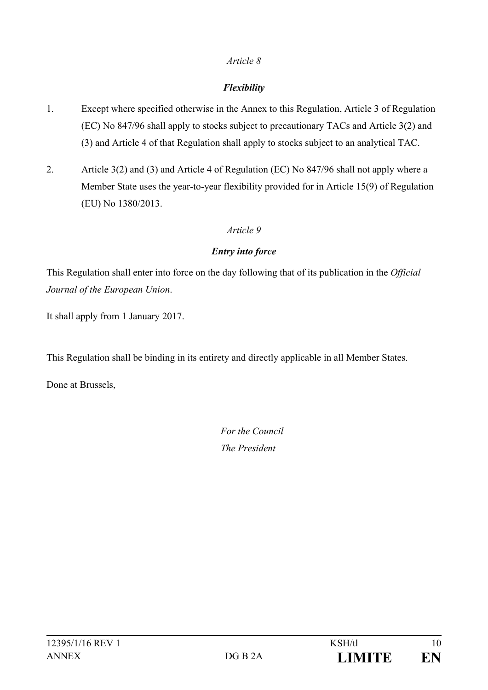#### *Article 8*

## *Flexibility*

- 1. Except where specified otherwise in the Annex to this Regulation, Article 3 of Regulation (EC) No 847/96 shall apply to stocks subject to precautionary TACs and Article 3(2) and (3) and Article 4 of that Regulation shall apply to stocks subject to an analytical TAC.
- 2. Article 3(2) and (3) and Article 4 of Regulation (EC) No 847/96 shall not apply where a Member State uses the year-to-year flexibility provided for in Article 15(9) of Regulation (EU) No 1380/2013.

### *Article 9*

### *Entry into force*

This Regulation shall enter into force on the day following that of its publication in the *Official Journal of the European Union*.

It shall apply from 1 January 2017.

This Regulation shall be binding in its entirety and directly applicable in all Member States.

Done at Brussels,

*For the Council The President*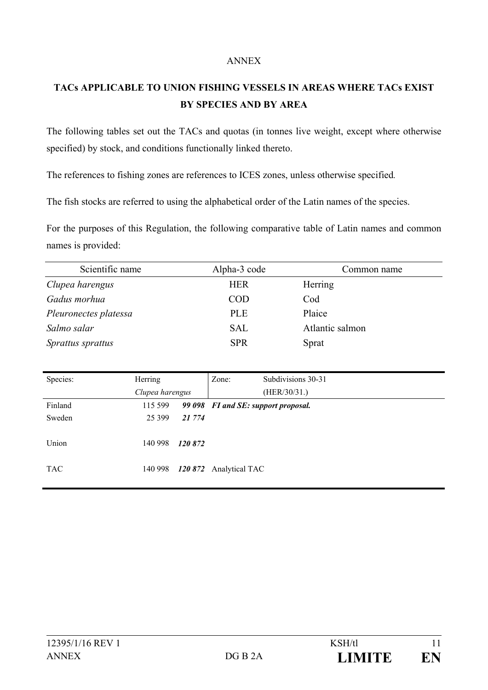#### ANNEX

# **TACs APPLICABLE TO UNION FISHING VESSELS IN AREAS WHERE TACs EXIST BY SPECIES AND BY AREA**

The following tables set out the TACs and quotas (in tonnes live weight, except where otherwise specified) by stock, and conditions functionally linked thereto.

The references to fishing zones are references to ICES zones, unless otherwise specified*.*

The fish stocks are referred to using the alphabetical order of the Latin names of the species.

For the purposes of this Regulation, the following comparative table of Latin names and common names is provided:

| Scientific name          | Alpha-3 code | Common name     |
|--------------------------|--------------|-----------------|
| Clupea harengus          | <b>HER</b>   | Herring         |
| Gadus morhua             | <b>COD</b>   | Cod             |
| Pleuronectes platessa    | <b>PLE</b>   | Plaice          |
| Salmo salar              | <b>SAL</b>   | Atlantic salmon |
| <i>Sprattus sprattus</i> | <b>SPR</b>   | Sprat           |

| Species:   | Herring         |        | Zone:                  | Subdivisions 30-31                  |
|------------|-----------------|--------|------------------------|-------------------------------------|
|            | Clupea harengus |        |                        | (HER/30/31.)                        |
| Finland    | 115 599         |        |                        | 99 098 FI and SE: support proposal. |
| Sweden     | 25 3 9 9        | 21 774 |                        |                                     |
|            |                 |        |                        |                                     |
| Union      | 140 998         | 120872 |                        |                                     |
|            |                 |        |                        |                                     |
| <b>TAC</b> | 140 998         |        | 120 872 Analytical TAC |                                     |
|            |                 |        |                        |                                     |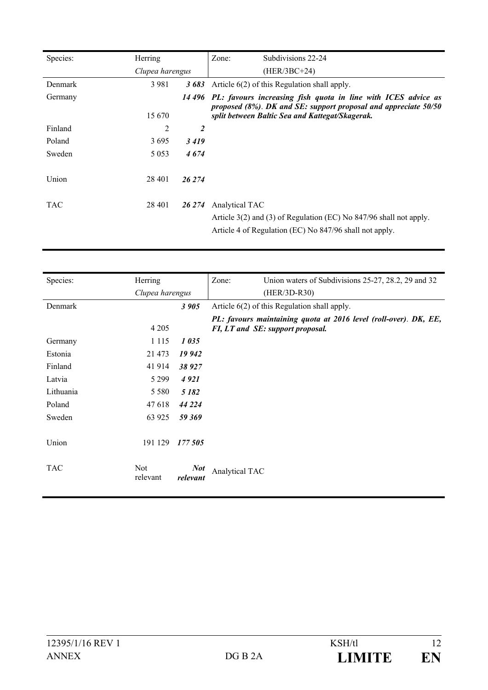| Species:   | Herring         |                | Zone:<br>Subdivisions 22-24                                                                                                                                                         |
|------------|-----------------|----------------|-------------------------------------------------------------------------------------------------------------------------------------------------------------------------------------|
|            | Clupea harengus |                | $(HER/3BC+24)$                                                                                                                                                                      |
| Denmark    | 3981            | 3683           | Article $6(2)$ of this Regulation shall apply.                                                                                                                                      |
| Germany    | 15 670          | 14 496         | PL: favours increasing fish quota in line with ICES advice as<br>proposed (8%). DK and SE: support proposal and appreciate 50/50<br>split between Baltic Sea and Kattegat/Skagerak. |
| Finland    | 2               | $\overline{2}$ |                                                                                                                                                                                     |
| Poland     | 3695            | 3419           |                                                                                                                                                                                     |
| Sweden     | 5 0 5 3         | 4674           |                                                                                                                                                                                     |
| Union      | 28 4 01         | 26 274         |                                                                                                                                                                                     |
| <b>TAC</b> | 28 401          | 26 274         | Analytical TAC<br>Article 3(2) and (3) of Regulation (EC) No 847/96 shall not apply.<br>Article 4 of Regulation (EC) No 847/96 shall not apply.                                     |

| Species:   | Herring         |            | Zone:<br>Union waters of Subdivisions 25-27, 28.2, 29 and 32     |  |  |
|------------|-----------------|------------|------------------------------------------------------------------|--|--|
|            | Clupea harengus |            | (HER/3D-R30)                                                     |  |  |
| Denmark    |                 | 3 905      | Article $6(2)$ of this Regulation shall apply.                   |  |  |
|            |                 |            | PL: favours maintaining quota at 2016 level (roll-over). DK, EE, |  |  |
|            | 4 2 0 5         |            | FI, LT and SE: support proposal.                                 |  |  |
| Germany    | 1 1 1 5         | 1035       |                                                                  |  |  |
| Estonia    | 21 473          | 19 942     |                                                                  |  |  |
| Finland    | 41 914          | 38 927     |                                                                  |  |  |
| Latvia     | 5 2 9 9         | 4921       |                                                                  |  |  |
| Lithuania  | 5 5 8 0         | 5 1 8 2    |                                                                  |  |  |
| Poland     | 47 618          | 44 224     |                                                                  |  |  |
| Sweden     | 63 925          | 59 369     |                                                                  |  |  |
|            |                 |            |                                                                  |  |  |
| Union      | 191 129         | 177 505    |                                                                  |  |  |
|            |                 |            |                                                                  |  |  |
| <b>TAC</b> | <b>Not</b>      | <b>Not</b> | Analytical TAC                                                   |  |  |
|            | relevant        | relevant   |                                                                  |  |  |
|            |                 |            |                                                                  |  |  |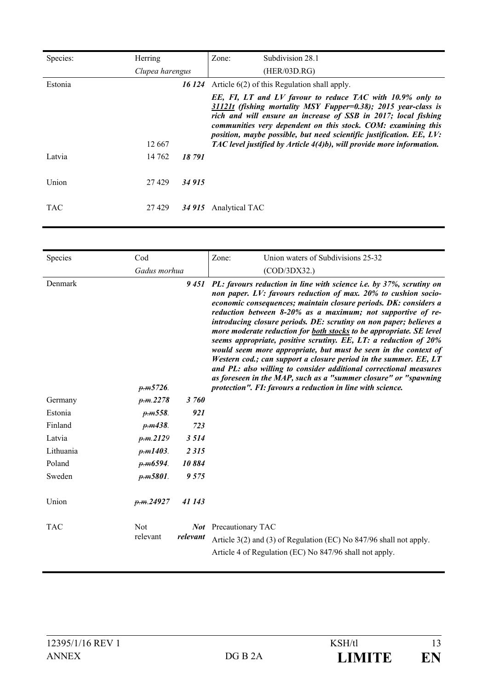| Species:   | Herring         |        | Zone:          | Subdivision 28.1                                                                                                                                                                                                                                                                                                                                                                                                |
|------------|-----------------|--------|----------------|-----------------------------------------------------------------------------------------------------------------------------------------------------------------------------------------------------------------------------------------------------------------------------------------------------------------------------------------------------------------------------------------------------------------|
|            | Clupea harengus |        |                | (HER/03D.RG)                                                                                                                                                                                                                                                                                                                                                                                                    |
| Estonia    |                 | 16 124 |                | Article $6(2)$ of this Regulation shall apply.                                                                                                                                                                                                                                                                                                                                                                  |
|            | 12 667          |        |                | EE, FI, LT and LV favour to reduce TAC with 10.9% only to<br>31121t (fishing mortality MSY Fupper=0.38); 2015 year-class is<br>rich and will ensure an increase of SSB in 2017; local fishing<br>communities very dependent on this stock. COM: examining this<br>position, maybe possible, but need scientific justification. EE, LV:<br>TAC level justified by Article 4(4)b), will provide more information. |
| Latvia     | 14 762          | 18791  |                |                                                                                                                                                                                                                                                                                                                                                                                                                 |
| Union      | 27429           | 34 915 |                |                                                                                                                                                                                                                                                                                                                                                                                                                 |
| <b>TAC</b> | 27 4 29         | 34 915 | Analytical TAC |                                                                                                                                                                                                                                                                                                                                                                                                                 |

| Species    | Cod                    |          | Zone:                        | Union waters of Subdivisions 25-32                                                                                                                                                                                                                                                                                                                                                                                                                                                                                                                                                                                                                                                                                                                                                                                                          |
|------------|------------------------|----------|------------------------------|---------------------------------------------------------------------------------------------------------------------------------------------------------------------------------------------------------------------------------------------------------------------------------------------------------------------------------------------------------------------------------------------------------------------------------------------------------------------------------------------------------------------------------------------------------------------------------------------------------------------------------------------------------------------------------------------------------------------------------------------------------------------------------------------------------------------------------------------|
|            | Gadus morhua           |          |                              | (COD/3DX32.)                                                                                                                                                                                                                                                                                                                                                                                                                                                                                                                                                                                                                                                                                                                                                                                                                                |
| Denmark    | p.m5726.               |          |                              | 9451 PL: favours reduction in line with science i.e. by 37%, scrutiny on<br>non paper. LV: favours reduction of max. 20% to cushion socio-<br>economic consequences; maintain closure periods. DK: considers a<br>reduction between 8-20% as a maximum; not supportive of re-<br>introducing closure periods. DE: scrutiny on non paper; believes a<br>more moderate reduction for both stocks to be appropriate. SE level<br>seems appropriate, positive scrutiny. EE, LT: a reduction of 20%<br>would seem more appropriate, but must be seen in the context of<br>Western cod.; can support a closure period in the summer. EE, LT<br>and PL: also willing to consider additional correctional measures<br>as foreseen in the MAP, such as a "summer closure" or "spawning<br>protection". FI: favours a reduction in line with science. |
| Germany    | p.m.2278               | 3 760    |                              |                                                                                                                                                                                                                                                                                                                                                                                                                                                                                                                                                                                                                                                                                                                                                                                                                                             |
| Estonia    | p.m.558.               | 921      |                              |                                                                                                                                                                                                                                                                                                                                                                                                                                                                                                                                                                                                                                                                                                                                                                                                                                             |
| Finland    | <del>p.m</del> 438.    | 723      |                              |                                                                                                                                                                                                                                                                                                                                                                                                                                                                                                                                                                                                                                                                                                                                                                                                                                             |
| Latvia     | p.m.2129               | 3 5 1 4  |                              |                                                                                                                                                                                                                                                                                                                                                                                                                                                                                                                                                                                                                                                                                                                                                                                                                                             |
| Lithuania  | p.m1403.               | 2315     |                              |                                                                                                                                                                                                                                                                                                                                                                                                                                                                                                                                                                                                                                                                                                                                                                                                                                             |
| Poland     | p.m6594.               | 10884    |                              |                                                                                                                                                                                                                                                                                                                                                                                                                                                                                                                                                                                                                                                                                                                                                                                                                                             |
| Sweden     | $p_{.}m5801.$          | 9 5 7 5  |                              |                                                                                                                                                                                                                                                                                                                                                                                                                                                                                                                                                                                                                                                                                                                                                                                                                                             |
| Union      | p.m.24927              | 41 143   |                              |                                                                                                                                                                                                                                                                                                                                                                                                                                                                                                                                                                                                                                                                                                                                                                                                                                             |
| <b>TAC</b> | <b>Not</b><br>relevant | relevant | <b>Not</b> Precautionary TAC | Article 3(2) and (3) of Regulation (EC) No 847/96 shall not apply.<br>Article 4 of Regulation (EC) No 847/96 shall not apply.                                                                                                                                                                                                                                                                                                                                                                                                                                                                                                                                                                                                                                                                                                               |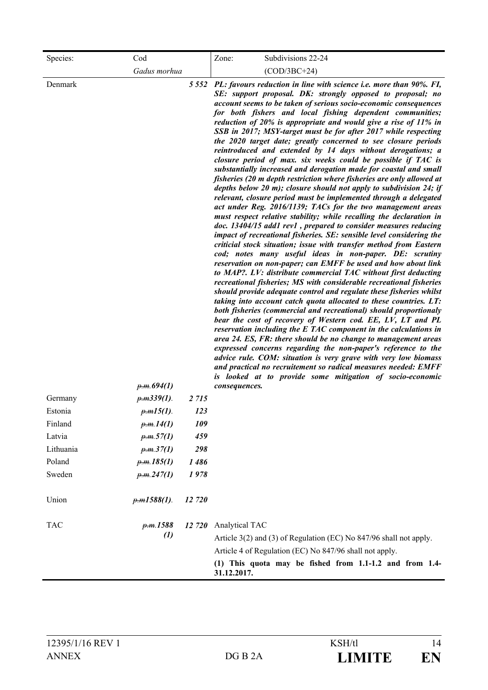| Species:                      | Cod                                          |                       | Subdivisions 22-24<br>Zone:                                                                                                                                                                                                                                                                                                                                                                                                                                                                                                                                                                                                                                                                                                                                                                                                                                                                                                                                                                                                                                                                                                                                                                                                                                                                                                                                                                                                                                                                                                                                                                                                                                                                                                                                                                                                                                                                                                                                                                                                                                                                                                                                                                                                                  |
|-------------------------------|----------------------------------------------|-----------------------|----------------------------------------------------------------------------------------------------------------------------------------------------------------------------------------------------------------------------------------------------------------------------------------------------------------------------------------------------------------------------------------------------------------------------------------------------------------------------------------------------------------------------------------------------------------------------------------------------------------------------------------------------------------------------------------------------------------------------------------------------------------------------------------------------------------------------------------------------------------------------------------------------------------------------------------------------------------------------------------------------------------------------------------------------------------------------------------------------------------------------------------------------------------------------------------------------------------------------------------------------------------------------------------------------------------------------------------------------------------------------------------------------------------------------------------------------------------------------------------------------------------------------------------------------------------------------------------------------------------------------------------------------------------------------------------------------------------------------------------------------------------------------------------------------------------------------------------------------------------------------------------------------------------------------------------------------------------------------------------------------------------------------------------------------------------------------------------------------------------------------------------------------------------------------------------------------------------------------------------------|
|                               | Gadus morhua                                 |                       | $(COD/3BC+24)$                                                                                                                                                                                                                                                                                                                                                                                                                                                                                                                                                                                                                                                                                                                                                                                                                                                                                                                                                                                                                                                                                                                                                                                                                                                                                                                                                                                                                                                                                                                                                                                                                                                                                                                                                                                                                                                                                                                                                                                                                                                                                                                                                                                                                               |
| Denmark<br>Germany<br>Estonia | p.m.694(1)<br>$p.m.339(1)$ .<br>$p.m15(1)$ . | 2 7 1 5<br><i>123</i> | 5 552 PL: favours reduction in line with science i.e. more than 90%. FI,<br>SE: support proposal. DK: strongly opposed to proposal; no<br>account seems to be taken of serious socio-economic consequences<br>for both fishers and local fishing dependent communities;<br>reduction of 20% is appropriate and would give a rise of 11% in<br>SSB in 2017; MSY-target must be for after 2017 while respecting<br>the 2020 target date; greatly concerned to see closure periods<br>reintroduced and extended by 14 days without derogations; a<br>closure period of max. six weeks could be possible if TAC is<br>substantially increased and derogation made for coastal and small<br>fisheries (20 m depth restriction where fisheries are only allowed at<br>depths below 20 m); closure should not apply to subdivision 24; if<br>relevant, closure period must be implemented through a delegated<br>act under Reg. 2016/1139; TACs for the two management areas<br>must respect relative stability; while recalling the declaration in<br>doc. 13404/15 add1 rev1, prepared to consider measures reducing<br>impact of recreational fisheries. SE: sensible level considering the<br>criticial stock situation; issue with transfer method from Eastern<br>cod; notes many useful ideas in non-paper. DE: scrutiny<br>reservation on non-paper; can EMFF be used and how about link<br>to MAP?. LV: distribute commercial TAC without first deducting<br>recreational fisheries; MS with considerable recreational fisheries<br>should provide adequate control and regulate these fisheries whilst<br>taking into account catch quota allocated to these countries. LT:<br>both fisheries (commercial and recreational) should proportionaly<br>bear the cost of recovery of Western cod. EE, LV, LT and PL<br>reservation including the E TAC component in the calculations in<br>area 24. ES, FR: there should be no change to management areas<br>expressed concerns regarding the non-paper's reference to the<br>advice rule. COM: situation is very grave with very low biomass<br>and practical no recruitement so radical measures needed: EMFF<br>is looked at to provide some mitigation of socio-economic<br>consequences. |
| Finland                       | p.m.14(1)                                    | 109                   |                                                                                                                                                                                                                                                                                                                                                                                                                                                                                                                                                                                                                                                                                                                                                                                                                                                                                                                                                                                                                                                                                                                                                                                                                                                                                                                                                                                                                                                                                                                                                                                                                                                                                                                                                                                                                                                                                                                                                                                                                                                                                                                                                                                                                                              |
| Latvia                        | p.m.57(1)                                    | 459                   |                                                                                                                                                                                                                                                                                                                                                                                                                                                                                                                                                                                                                                                                                                                                                                                                                                                                                                                                                                                                                                                                                                                                                                                                                                                                                                                                                                                                                                                                                                                                                                                                                                                                                                                                                                                                                                                                                                                                                                                                                                                                                                                                                                                                                                              |
| Lithuania                     | p.m.37(1)                                    | 298                   |                                                                                                                                                                                                                                                                                                                                                                                                                                                                                                                                                                                                                                                                                                                                                                                                                                                                                                                                                                                                                                                                                                                                                                                                                                                                                                                                                                                                                                                                                                                                                                                                                                                                                                                                                                                                                                                                                                                                                                                                                                                                                                                                                                                                                                              |
| Poland                        | p.m.185(1)                                   | 1486                  |                                                                                                                                                                                                                                                                                                                                                                                                                                                                                                                                                                                                                                                                                                                                                                                                                                                                                                                                                                                                                                                                                                                                                                                                                                                                                                                                                                                                                                                                                                                                                                                                                                                                                                                                                                                                                                                                                                                                                                                                                                                                                                                                                                                                                                              |
| Sweden                        | p.m.247(1)                                   | 1978                  |                                                                                                                                                                                                                                                                                                                                                                                                                                                                                                                                                                                                                                                                                                                                                                                                                                                                                                                                                                                                                                                                                                                                                                                                                                                                                                                                                                                                                                                                                                                                                                                                                                                                                                                                                                                                                                                                                                                                                                                                                                                                                                                                                                                                                                              |
| Union                         | $p.m1588(1)$ .                               | 12 720                |                                                                                                                                                                                                                                                                                                                                                                                                                                                                                                                                                                                                                                                                                                                                                                                                                                                                                                                                                                                                                                                                                                                                                                                                                                                                                                                                                                                                                                                                                                                                                                                                                                                                                                                                                                                                                                                                                                                                                                                                                                                                                                                                                                                                                                              |
| <b>TAC</b>                    | p.m.1588<br>$\mathcal{L}(I)$                 | 12 720                | Analytical TAC<br>Article 3(2) and (3) of Regulation (EC) No 847/96 shall not apply.<br>Article 4 of Regulation (EC) No 847/96 shall not apply.<br>(1) This quota may be fished from 1.1-1.2 and from 1.4-<br>31.12.2017.                                                                                                                                                                                                                                                                                                                                                                                                                                                                                                                                                                                                                                                                                                                                                                                                                                                                                                                                                                                                                                                                                                                                                                                                                                                                                                                                                                                                                                                                                                                                                                                                                                                                                                                                                                                                                                                                                                                                                                                                                    |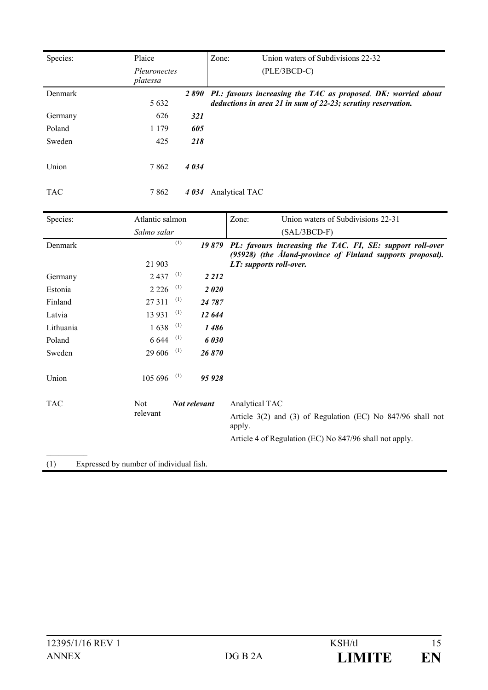| Species:   | Plaice<br><i>Pleuronectes</i><br>platessa |             | Union waters of Subdivisions 22-32<br>Zone:<br>$(PLE/3BCD-C)$                                                                 |
|------------|-------------------------------------------|-------------|-------------------------------------------------------------------------------------------------------------------------------|
| Denmark    | 5 6 3 2                                   | <i>2890</i> | PL: favours increasing the TAC as proposed. DK: worried about<br>deductions in area 21 in sum of 22-23; scrutiny reservation. |
| Germany    | 626                                       | <b>321</b>  |                                                                                                                               |
| Poland     | 1 1 7 9                                   | 605         |                                                                                                                               |
| Sweden     | 425                                       | 218         |                                                                                                                               |
| Union      | 7862                                      | 4034        |                                                                                                                               |
| <b>TAC</b> | 7862                                      | 4 0 34      | Analytical TAC                                                                                                                |

| Species:   | Atlantic salmon        |                | Union waters of Subdivisions 22-31<br>Zone:                                                                             |
|------------|------------------------|----------------|-------------------------------------------------------------------------------------------------------------------------|
|            | Salmo salar            |                | $(SAL/3BCD-F)$                                                                                                          |
| Denmark    |                        | (1)<br>19879   | PL: favours increasing the TAC. FI, SE: support roll-over<br>(95928) (the Aland-province of Finland supports proposal). |
|            | 21 903                 |                | LT: supports roll-over.                                                                                                 |
| Germany    | 2437                   | (1)<br>2 2 1 2 |                                                                                                                         |
| Estonia    | 2 2 2 6                | (1)<br>2020    |                                                                                                                         |
| Finland    | 27 311                 | (1)<br>24 787  |                                                                                                                         |
| Latvia     | 13 9 31                | (1)<br>12 644  |                                                                                                                         |
| Lithuania  | 1638                   | (1)<br>1486    |                                                                                                                         |
| Poland     | 6 6 4 4                | (1)<br>6030    |                                                                                                                         |
| Sweden     | $29606$ <sup>(1)</sup> | 26870          |                                                                                                                         |
| Union      | 105 696                | (1)<br>95928   |                                                                                                                         |
| <b>TAC</b> | <b>Not</b>             | Not relevant   | Analytical TAC                                                                                                          |
|            | relevant               |                | Article $3(2)$ and $(3)$ of Regulation (EC) No $847/96$ shall not<br>apply.                                             |
|            |                        |                | Article 4 of Regulation (EC) No 847/96 shall not apply.                                                                 |
|            |                        |                |                                                                                                                         |
|            | $\sim$                 | .              |                                                                                                                         |

(1) Expressed by number of individual fish.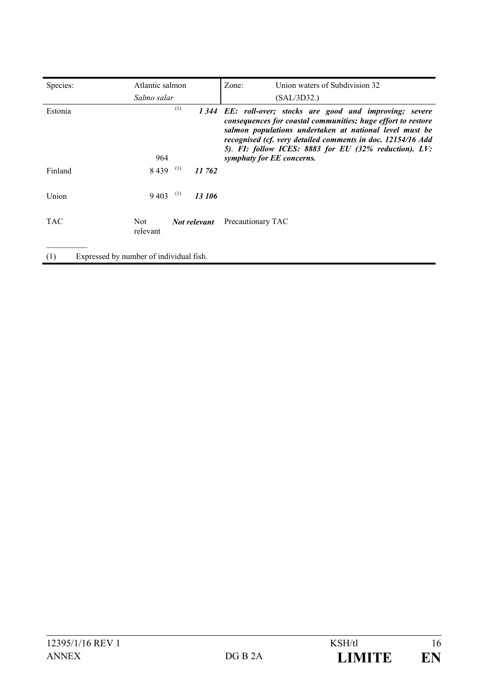| Species:                                       | Atlantic salmon |               | Union waters of Subdivision 32<br>Zone:                                                                                                                                                                                                                                                                                                   |
|------------------------------------------------|-----------------|---------------|-------------------------------------------------------------------------------------------------------------------------------------------------------------------------------------------------------------------------------------------------------------------------------------------------------------------------------------------|
|                                                | Salmo salar     |               | (SAL/3D32.)                                                                                                                                                                                                                                                                                                                               |
| Estonia                                        | 964             | (1)           | 1344 EE: roll-over; stocks are good and improving; severe<br>consequences for coastal communities; huge effort to restore<br>salmon populations undertaken at national level must be<br>recognised (cf. very detailed comments in doc. 12154/16 Add<br>5). FI: follow ICES: 8883 for EU (32% reduction). LV:<br>symphaty for EE concerns. |
| Finland                                        | 8439            | (1)<br>11 762 |                                                                                                                                                                                                                                                                                                                                           |
| Union                                          | 9 4 0 3         | (1)<br>13 106 |                                                                                                                                                                                                                                                                                                                                           |
| <b>TAC</b>                                     | Not<br>relevant | Not relevant  | Precautionary TAC                                                                                                                                                                                                                                                                                                                         |
| (1)<br>Expressed by number of individual fish. |                 |               |                                                                                                                                                                                                                                                                                                                                           |